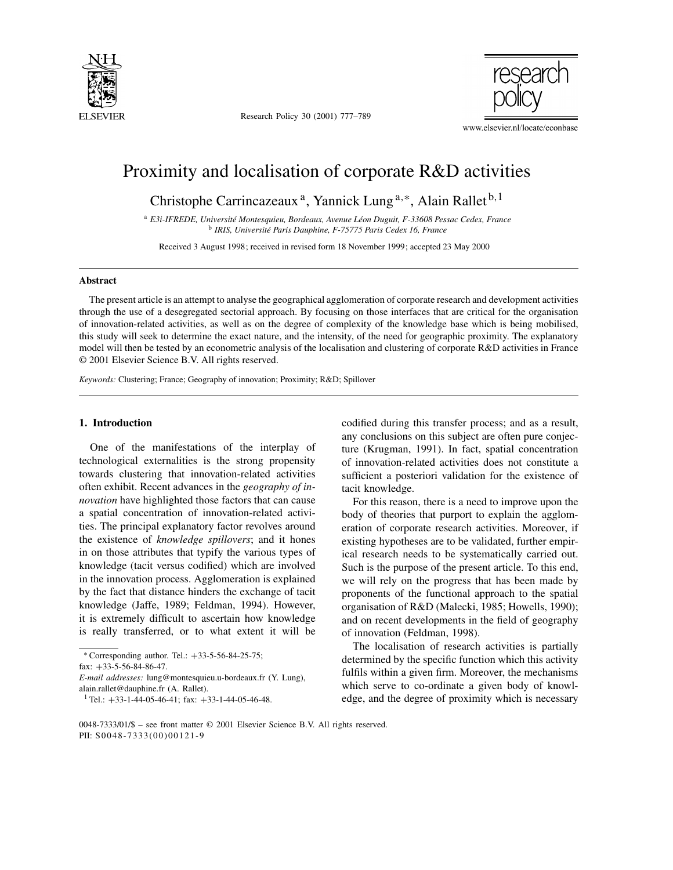

Research Policy 30 (2001) 777–789



# Proximity and localisation of corporate R&D activities

Christophe Carrincazeaux<sup>a</sup>, Yannick Lung<sup>a,∗</sup>, Alain Rallet<sup>b,1</sup>

<sup>a</sup> *E3i-IFREDE, Université Montesquieu, Bordeaux, Avenue Léon Duguit, F-33608 Pessac Cedex, France* <sup>b</sup> *IRIS, Université Paris Dauphine, F-75775 Paris Cedex 16, France*

Received 3 August 1998; received in revised form 18 November 1999; accepted 23 May 2000

#### **Abstract**

The present article is an attempt to analyse the geographical agglomeration of corporate research and development activities through the use of a desegregated sectorial approach. By focusing on those interfaces that are critical for the organisation of innovation-related activities, as well as on the degree of complexity of the knowledge base which is being mobilised, this study will seek to determine the exact nature, and the intensity, of the need for geographic proximity. The explanatory model will then be tested by an econometric analysis of the localisation and clustering of corporate R&D activities in France © 2001 Elsevier Science B.V. All rights reserved.

*Keywords:* Clustering; France; Geography of innovation; Proximity; R&D; Spillover

#### **1. Introduction**

One of the manifestations of the interplay of technological externalities is the strong propensity towards clustering that innovation-related activities often exhibit. Recent advances in the *geography of innovation* have highlighted those factors that can cause a spatial concentration of innovation-related activities. The principal explanatory factor revolves around the existence of *knowledge spillovers*; and it hones in on those attributes that typify the various types of knowledge (tacit versus codified) which are involved in the innovation process. Agglomeration is explained by the fact that distance hinders the exchange of tacit knowledge (Jaffe, 1989; Feldman, 1994). However, it is extremely difficult to ascertain how knowledge is really transferred, or to what extent it will be

fax: +33-5-56-84-86-47.

codified during this transfer process; and as a result, any conclusions on this subject are often pure conjecture (Krugman, 1991). In fact, spatial concentration of innovation-related activities does not constitute a sufficient a posteriori validation for the existence of tacit knowledge.

For this reason, there is a need to improve upon the body of theories that purport to explain the agglomeration of corporate research activities. Moreover, if existing hypotheses are to be validated, further empirical research needs to be systematically carried out. Such is the purpose of the present article. To this end, we will rely on the progress that has been made by proponents of the functional approach to the spatial organisation of R&D (Malecki, 1985; Howells, 1990); and on recent developments in the field of geography of innovation (Feldman, 1998).

The localisation of research activities is partially determined by the specific function which this activity fulfils within a given firm. Moreover, the mechanisms which serve to co-ordinate a given body of knowledge, and the degree of proximity which is necessary

<sup>∗</sup> Corresponding author. Tel.: +33-5-56-84-25-75;

*E-mail addresses:* lung@montesquieu.u-bordeaux.fr (Y. Lung), alain.rallet@dauphine.fr (A. Rallet).

<sup>&</sup>lt;sup>1</sup> Tel.:  $+33$ -1-44-05-46-41; fax:  $+33$ -1-44-05-46-48.

<sup>0048-7333/01/\$ –</sup> see front matter © 2001 Elsevier Science B.V. All rights reserved. PII: S0048-7333(00)00121-9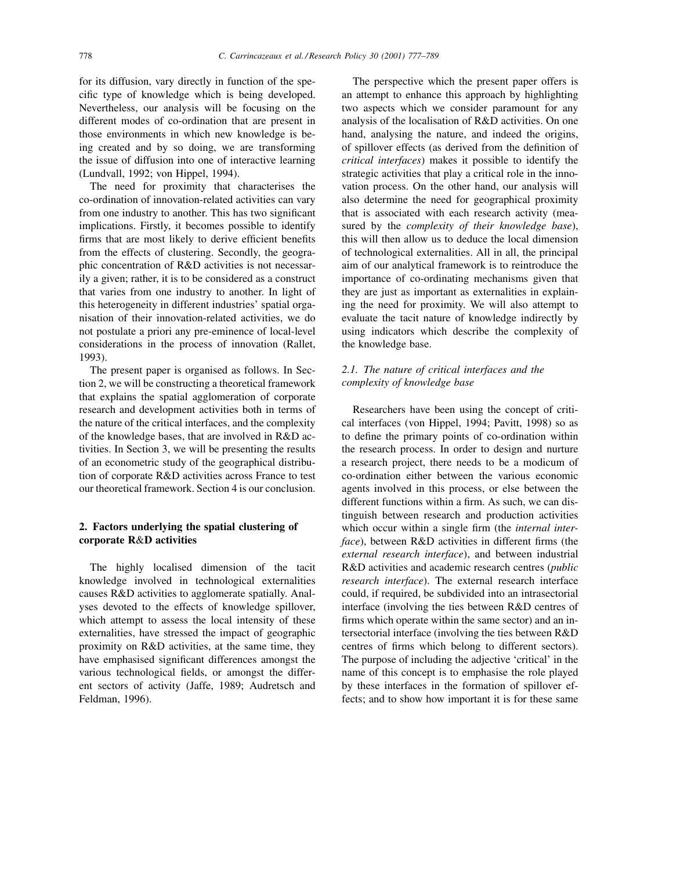for its diffusion, vary directly in function of the specific type of knowledge which is being developed. Nevertheless, our analysis will be focusing on the different modes of co-ordination that are present in those environments in which new knowledge is being created and by so doing, we are transforming the issue of diffusion into one of interactive learning (Lundvall, 1992; von Hippel, 1994).

The need for proximity that characterises the co-ordination of innovation-related activities can vary from one industry to another. This has two significant implications. Firstly, it becomes possible to identify firms that are most likely to derive efficient benefits from the effects of clustering. Secondly, the geographic concentration of R&D activities is not necessarily a given; rather, it is to be considered as a construct that varies from one industry to another. In light of this heterogeneity in different industries' spatial organisation of their innovation-related activities, we do not postulate a priori any pre-eminence of local-level considerations in the process of innovation (Rallet, 1993).

The present paper is organised as follows. In Section 2, we will be constructing a theoretical framework that explains the spatial agglomeration of corporate research and development activities both in terms of the nature of the critical interfaces, and the complexity of the knowledge bases, that are involved in R&D activities. In Section 3, we will be presenting the results of an econometric study of the geographical distribution of corporate R&D activities across France to test our theoretical framework. Section 4 is our conclusion.

## **2. Factors underlying the spatial clustering of corporate R**&**D activities**

The highly localised dimension of the tacit knowledge involved in technological externalities causes R&D activities to agglomerate spatially. Analyses devoted to the effects of knowledge spillover, which attempt to assess the local intensity of these externalities, have stressed the impact of geographic proximity on R&D activities, at the same time, they have emphasised significant differences amongst the various technological fields, or amongst the different sectors of activity (Jaffe, 1989; Audretsch and Feldman, 1996).

The perspective which the present paper offers is an attempt to enhance this approach by highlighting two aspects which we consider paramount for any analysis of the localisation of R&D activities. On one hand, analysing the nature, and indeed the origins, of spillover effects (as derived from the definition of *critical interfaces*) makes it possible to identify the strategic activities that play a critical role in the innovation process. On the other hand, our analysis will also determine the need for geographical proximity that is associated with each research activity (measured by the *complexity of their knowledge base*), this will then allow us to deduce the local dimension of technological externalities. All in all, the principal aim of our analytical framework is to reintroduce the importance of co-ordinating mechanisms given that they are just as important as externalities in explaining the need for proximity. We will also attempt to evaluate the tacit nature of knowledge indirectly by using indicators which describe the complexity of the knowledge base.

## *2.1. The nature of critical interfaces and the complexity of knowledge base*

Researchers have been using the concept of critical interfaces (von Hippel, 1994; Pavitt, 1998) so as to define the primary points of co-ordination within the research process. In order to design and nurture a research project, there needs to be a modicum of co-ordination either between the various economic agents involved in this process, or else between the different functions within a firm. As such, we can distinguish between research and production activities which occur within a single firm (the *internal interface*), between R&D activities in different firms (the *external research interface*), and between industrial R&D activities and academic research centres (*public research interface*). The external research interface could, if required, be subdivided into an intrasectorial interface (involving the ties between R&D centres of firms which operate within the same sector) and an intersectorial interface (involving the ties between R&D centres of firms which belong to different sectors). The purpose of including the adjective 'critical' in the name of this concept is to emphasise the role played by these interfaces in the formation of spillover effects; and to show how important it is for these same